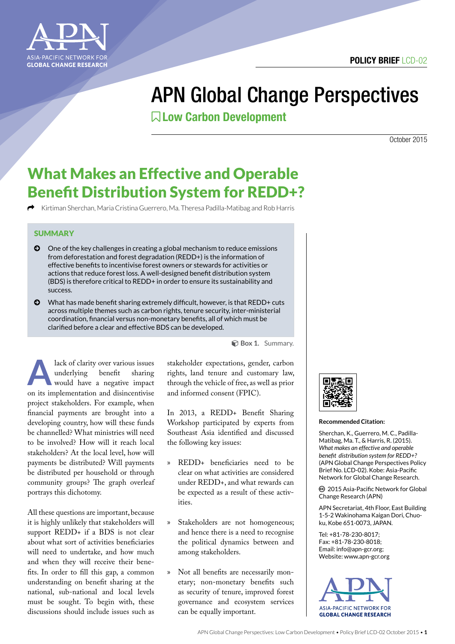

# APN Global Change Perspectives

Low Carbon Development

October 2015

## What Makes an Effective and Operable Benefit Distribution System for REDD+?

k Kirtiman Sherchan, Maria Cristina Guerrero, Ma. Theresa Padilla-Matibag and Rob Harris

#### **SUMMARY**

- © One of the key challenges in creating a global mechanism to reduce emissions from deforestation and forest degradation (REDD+) is the information of effective benefits to incentivise forest owners or stewards for activities or actions that reduce forest loss. A well-designed benefit distribution system (BDS) is therefore critical to REDD+ in order to ensure its sustainability and success.
- © What has made benefit sharing extremely difficult, however, is that REDD+ cuts across multiple themes such as carbon rights, tenure security, inter-ministerial coordination, financial versus non-monetary benefits, all of which must be clarified before a clear and effective BDS can be developed.

**A lack of clarity over various issues**<br>
underlying benefit sharing<br>
would have a negative impact underlying benefit sharing on its implementation and disincentivise project stakeholders. For example, when financial payments are brought into a developing country, how will these funds be channelled? What ministries will need to be involved? How will it reach local stakeholders? At the local level, how will payments be distributed? Will payments be distributed per household or through community groups? The graph overleaf portrays this dichotomy.

All these questions are important, because it is highly unlikely that stakeholders will support REDD+ if a BDS is not clear about what sort of activities beneficiaries will need to undertake, and how much and when they will receive their benefits. In order to fill this gap, a common understanding on benefit sharing at the national, sub-national and local levels must be sought. To begin with, these discussions should include issues such as

**Box 1.** Summary.

stakeholder expectations, gender, carbon rights, land tenure and customary law, through the vehicle of free, as well as prior and informed consent (FPIC).

In 2013, a REDD+ Benefit Sharing Workshop participated by experts from Southeast Asia identified and discussed the following key issues:

- » REDD+ beneficiaries need to be clear on what activities are considered under REDD+, and what rewards can be expected as a result of these activities.
- » Stakeholders are not homogeneous; and hence there is a need to recognise the political dynamics between and among stakeholders.
- » Not all benefits are necessarily monetary; non-monetary benefits such as security of tenure, improved forest governance and ecosystem services can be equally important.



#### **Recommended Citation:**

Sherchan, K., Guerrero, M. C., Padilla-Matibag, Ma. T., & Harris, R. (2015). *What makes an effective and operable benefit distribution system for REDD+?*  (APN Global Change Perspectives Policy Brief No. LCD-02). Kobe: Asia-Pacific Network for Global Change Research.

ȹ 2015 Asia-Pacific Network for Global Change Research (APN)

APN Secretariat, 4th Floor, East Building 1-5-2 Wakinohama Kaigan Dori, Chuoku, Kobe 651-0073, JAPAN.

Tel: +81-78-230-8017; Fax: +81-78-230-8018; Email: info@apn-gcr.org; Website: www.apn-gcr.org